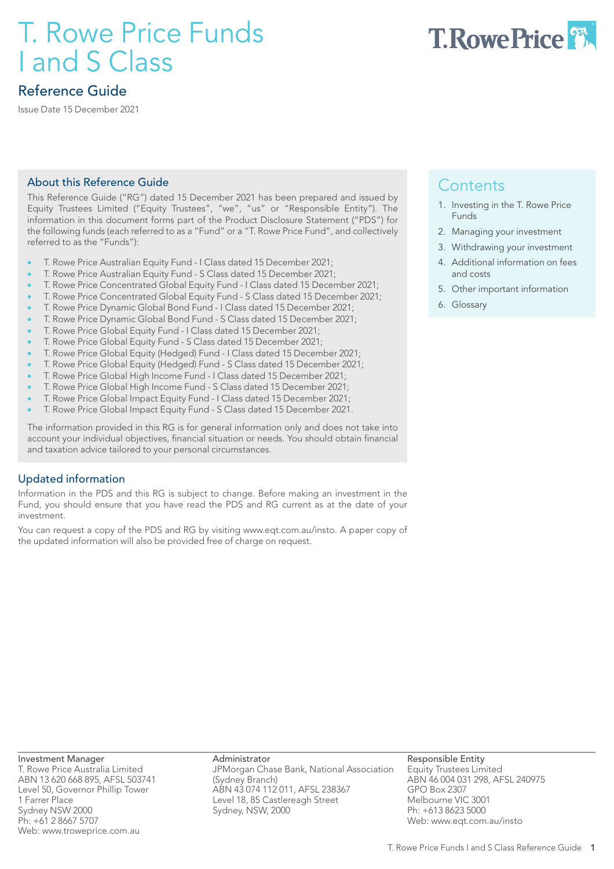# T. Rowe Price Funds I and S Class



# Reference Guide

Issue Date 15 December 2021

# About this Reference Guide

This Reference Guide ("RG") dated 15 December 2021 has been prepared and issued by Equity Trustees Limited ("Equity Trustees", "we", "us" or "Responsible Entity"). The information in this document forms part of the Product Disclosure Statement ("PDS") for the following funds (each referred to as a "Fund" or a "T. Rowe Price Fund", and collectively referred to as the "Funds"):

- T. Rowe Price Australian Equity Fund I Class dated 15 December 2021;
- T. Rowe Price Australian Equity Fund S Class dated 15 December 2021;
- T. Rowe Price Concentrated Global Equity Fund I Class dated 15 December 2021;
- T. Rowe Price Concentrated Global Equity Fund S Class dated 15 December 2021;
- T. Rowe Price Dynamic Global Bond Fund I Class dated 15 December 2021;
- T. Rowe Price Dynamic Global Bond Fund S Class dated 15 December 2021;
- T. Rowe Price Global Equity Fund I Class dated 15 December 2021;
- T. Rowe Price Global Equity Fund S Class dated 15 December 2021;
- T. Rowe Price Global Equity (Hedged) Fund I Class dated 15 December 2021;
- T. Rowe Price Global Equity (Hedged) Fund S Class dated 15 December 2021;
- T. Rowe Price Global High Income Fund I Class dated 15 December 2021;
- T. Rowe Price Global High Income Fund S Class dated 15 December 2021;
- T. Rowe Price Global Impact Equity Fund I Class dated 15 December 2021;
- T. Rowe Price Global Impact Equity Fund S Class dated 15 December 2021.

The information provided in this RG is for general information only and does not take into account your individual objectives, financial situation or needs. You should obtain financial and taxation advice tailored to your personal circumstances.

# Updated information

Information in the PDS and this RG is subject to change. Before making an investment in the Fund, you should ensure that you have read the PDS and RG current as at the date of your investment.

You can request a copy of the PDS and RG by visiting www.eqt.com.au/insto. A paper copy of the updated information will also be provided free of charge on request.

# **Contents**

- 1. Investing in the T. Rowe Price Funds
- 2. Managing your investment
- 3. Withdrawing your investment
- 4. Additional information on fees and costs
- 5. Other important information
- 6. Glossary

Investment Manager T. Rowe Price Australia Limited ABN 13 620 668 895, AFSL 503741 Level 50, Governor Phillip Tower 1 Farrer Place Sydney NSW 2000 Ph: +61 2 8667 5707 Web: www.troweprice.com.au

Administrator JPMorgan Chase Bank, National Association (Sydney Branch) ABN 43 074 112 011, AFSL 238367 Level 18, 85 Castlereagh Street Sydney, NSW, 2000

Responsible Entity Equity Trustees Limited ABN 46 004 031 298, AFSL 240975 GPO Box 2307 Melbourne VIC 3001 Ph: +613 8623 5000 Web: www.eqt.com.au/insto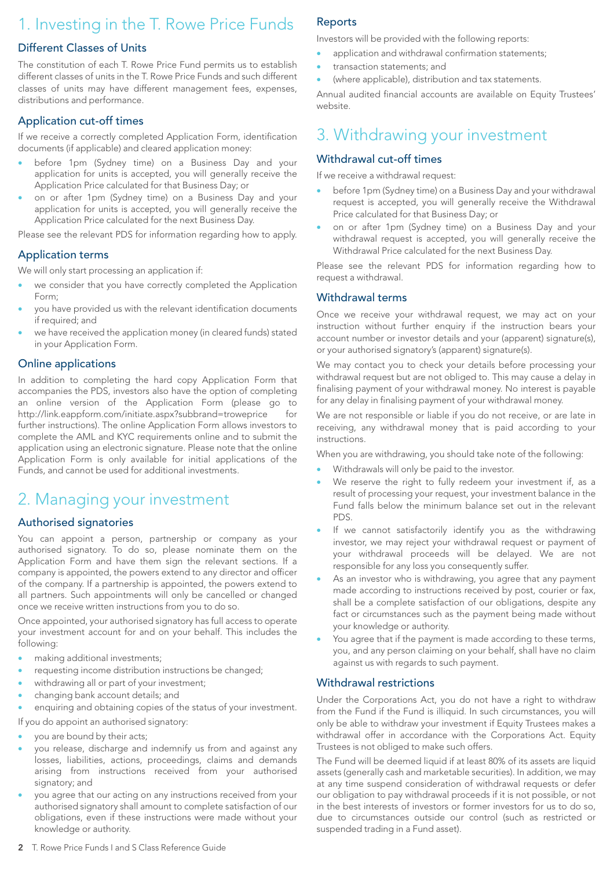# 1. Investing in the T. Rowe Price Funds

# Different Classes of Units

The constitution of each T. Rowe Price Fund permits us to establish different classes of units in the T. Rowe Price Funds and such different classes of units may have different management fees, expenses, distributions and performance.

# Application cut-off times

If we receive a correctly completed Application Form, identification documents (if applicable) and cleared application money:

- before 1pm (Sydney time) on a Business Day and your application for units is accepted, you will generally receive the Application Price calculated for that Business Day; or
- on or after 1pm (Sydney time) on a Business Day and your application for units is accepted, you will generally receive the Application Price calculated for the next Business Day.

Please see the relevant PDS for information regarding how to apply.

# Application terms

We will only start processing an application if:

- we consider that you have correctly completed the Application Form;
- you have provided us with the relevant identification documents if required; and
- we have received the application money (in cleared funds) stated in your Application Form.

# Online applications

In addition to completing the hard copy Application Form that accompanies the PDS, investors also have the option of completing an online version of the Application Form (please go to http://link.eappform.com/initiate.aspx?subbrand=troweprice further instructions). The online Application Form allows investors to complete the AML and KYC requirements online and to submit the application using an electronic signature. Please note that the online Application Form is only available for initial applications of the Funds, and cannot be used for additional investments.

# 2. Managing your investment

# Authorised signatories

You can appoint a person, partnership or company as your authorised signatory. To do so, please nominate them on the Application Form and have them sign the relevant sections. If a company is appointed, the powers extend to any director and officer of the company. If a partnership is appointed, the powers extend to all partners. Such appointments will only be cancelled or changed once we receive written instructions from you to do so.

Once appointed, your authorised signatory has full access to operate your investment account for and on your behalf. This includes the following:

- making additional investments;
- requesting income distribution instructions be changed;
- withdrawing all or part of your investment;
- changing bank account details; and

enquiring and obtaining copies of the status of your investment.

- If you do appoint an authorised signatory:
- you are bound by their acts;
- you release, discharge and indemnify us from and against any losses, liabilities, actions, proceedings, claims and demands arising from instructions received from your authorised signatory; and
- you agree that our acting on any instructions received from your authorised signatory shall amount to complete satisfaction of our obligations, even if these instructions were made without your knowledge or authority.

# Reports

Investors will be provided with the following reports:

- application and withdrawal confirmation statements;
- transaction statements; and
- (where applicable), distribution and tax statements.

Annual audited financial accounts are available on Equity Trustees' website.

# 3. Withdrawing your investment

# Withdrawal cut-off times

If we receive a withdrawal request:

- before 1pm (Sydney time) on a Business Day and your withdrawal request is accepted, you will generally receive the Withdrawal Price calculated for that Business Day; or
- on or after 1pm (Sydney time) on a Business Day and your withdrawal request is accepted, you will generally receive the Withdrawal Price calculated for the next Business Day.

Please see the relevant PDS for information regarding how to request a withdrawal.

# Withdrawal terms

Once we receive your withdrawal request, we may act on your instruction without further enquiry if the instruction bears your account number or investor details and your (apparent) signature(s), or your authorised signatory's (apparent) signature(s).

We may contact you to check your details before processing your withdrawal request but are not obliged to. This may cause a delay in finalising payment of your withdrawal money. No interest is payable for any delay in finalising payment of your withdrawal money.

We are not responsible or liable if you do not receive, or are late in receiving, any withdrawal money that is paid according to your instructions.

When you are withdrawing, you should take note of the following:

- Withdrawals will only be paid to the investor.
- We reserve the right to fully redeem your investment if, as a result of processing your request, your investment balance in the Fund falls below the minimum balance set out in the relevant PDS.
- If we cannot satisfactorily identify you as the withdrawing investor, we may reject your withdrawal request or payment of your withdrawal proceeds will be delayed. We are not responsible for any loss you consequently suffer.
- As an investor who is withdrawing, you agree that any payment made according to instructions received by post, courier or fax, shall be a complete satisfaction of our obligations, despite any fact or circumstances such as the payment being made without your knowledge or authority.
- You agree that if the payment is made according to these terms, you, and any person claiming on your behalf, shall have no claim against us with regards to such payment.

# Withdrawal restrictions

Under the Corporations Act, you do not have a right to withdraw from the Fund if the Fund is illiquid. In such circumstances, you will only be able to withdraw your investment if Equity Trustees makes a withdrawal offer in accordance with the Corporations Act. Equity Trustees is not obliged to make such offers.

The Fund will be deemed liquid if at least 80% of its assets are liquid assets (generally cash and marketable securities). In addition, we may at any time suspend consideration of withdrawal requests or defer our obligation to pay withdrawal proceeds if it is not possible, or not in the best interests of investors or former investors for us to do so, due to circumstances outside our control (such as restricted or suspended trading in a Fund asset).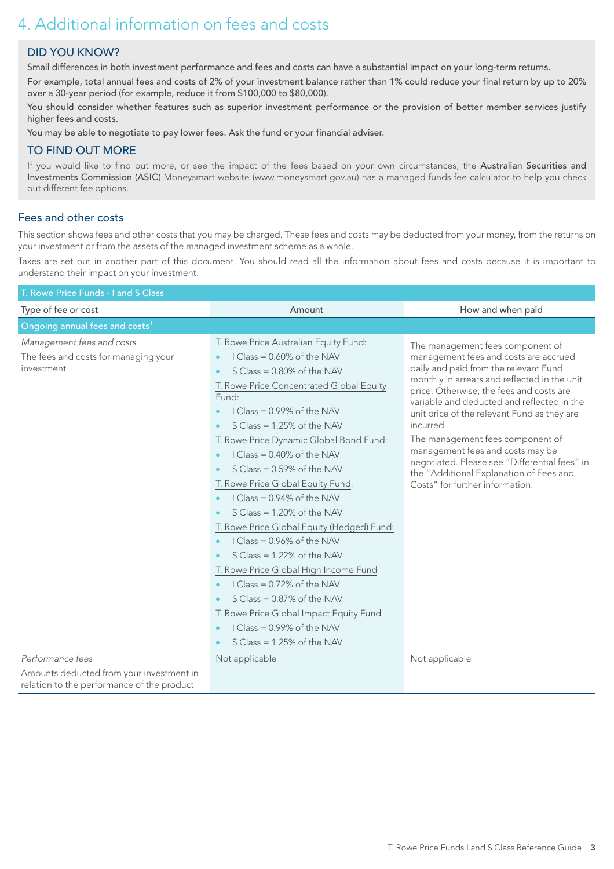# 4. Additional information on fees and costs

# DID YOU KNOW?

Small differences in both investment performance and fees and costs can have a substantial impact on your long-term returns.

For example, total annual fees and costs of 2% of your investment balance rather than 1% could reduce your final return by up to 20% over a 30-year period (for example, reduce it from \$100,000 to \$80,000).

You should consider whether features such as superior investment performance or the provision of better member services justify higher fees and costs.

You may be able to negotiate to pay lower fees. Ask the fund or your financial adviser.

# TO FIND OUT MORE

If you would like to find out more, or see the impact of the fees based on your own circumstances, the Australian Securities and Investments Commission (ASIC) Moneysmart website (www.moneysmart.gov.au) has a managed funds fee calculator to help you check out different fee options.

# Fees and other costs

This section shows fees and other costs that you may be charged. These fees and costs may be deducted from your money, from the returns on your investment or from the assets of the managed investment scheme as a whole.

Taxes are set out in another part of this document. You should read all the information about fees and costs because it is important to understand their impact on your investment.

| T. Rowe Price Funds - I and S Class                                                                 |                                                                                                                                                                                                                                                                                                                                                                                                                                                                                                                                                                                                                                                                                                                                                                                                   |                                                                                                                                                                                                                                                                                                                                                                                                                                                                                                                                                   |  |  |  |  |
|-----------------------------------------------------------------------------------------------------|---------------------------------------------------------------------------------------------------------------------------------------------------------------------------------------------------------------------------------------------------------------------------------------------------------------------------------------------------------------------------------------------------------------------------------------------------------------------------------------------------------------------------------------------------------------------------------------------------------------------------------------------------------------------------------------------------------------------------------------------------------------------------------------------------|---------------------------------------------------------------------------------------------------------------------------------------------------------------------------------------------------------------------------------------------------------------------------------------------------------------------------------------------------------------------------------------------------------------------------------------------------------------------------------------------------------------------------------------------------|--|--|--|--|
| Type of fee or cost                                                                                 | Amount                                                                                                                                                                                                                                                                                                                                                                                                                                                                                                                                                                                                                                                                                                                                                                                            | How and when paid                                                                                                                                                                                                                                                                                                                                                                                                                                                                                                                                 |  |  |  |  |
| Ongoing annual fees and costs <sup>1</sup>                                                          |                                                                                                                                                                                                                                                                                                                                                                                                                                                                                                                                                                                                                                                                                                                                                                                                   |                                                                                                                                                                                                                                                                                                                                                                                                                                                                                                                                                   |  |  |  |  |
| Management fees and costs<br>The fees and costs for managing your<br>investment<br>Performance fees | T. Rowe Price Australian Equity Fund:<br>$IClass = 0.60\%$ of the NAV<br>$S Class = 0.80\%$ of the NAV<br>T. Rowe Price Concentrated Global Equity<br>Fund:<br>$IClass = 0.99% of the NAV$<br>$S Class = 1.25\%$ of the NAV<br>T. Rowe Price Dynamic Global Bond Fund:<br>$IClass = 0.40\%$ of the NAV<br>$S Class = 0.59\%$ of the NAV<br>T. Rowe Price Global Equity Fund:<br>I Class = $0.94\%$ of the NAV<br>$S Class = 1.20\%$ of the NAV<br>T. Rowe Price Global Equity (Hedged) Fund:<br>$IClass = 0.96% of the NAV$<br>$S Class = 1.22\%$ of the NAV<br>T. Rowe Price Global High Income Fund<br>I Class = $0.72\%$ of the NAV<br>S Class = 0.87% of the NAV<br>T. Rowe Price Global Impact Equity Fund<br>$IClass = 0.99% of the NAV$<br>$S Class = 1.25\%$ of the NAV<br>Not applicable | The management fees component of<br>management fees and costs are accrued<br>daily and paid from the relevant Fund<br>monthly in arrears and reflected in the unit<br>price. Otherwise, the fees and costs are<br>variable and deducted and reflected in the<br>unit price of the relevant Fund as they are<br>incurred.<br>The management fees component of<br>management fees and costs may be<br>negotiated. Please see "Differential fees" in<br>the "Additional Explanation of Fees and<br>Costs" for further information.<br>Not applicable |  |  |  |  |
| Amounts deducted from your investment in                                                            |                                                                                                                                                                                                                                                                                                                                                                                                                                                                                                                                                                                                                                                                                                                                                                                                   |                                                                                                                                                                                                                                                                                                                                                                                                                                                                                                                                                   |  |  |  |  |
| relation to the performance of the product                                                          |                                                                                                                                                                                                                                                                                                                                                                                                                                                                                                                                                                                                                                                                                                                                                                                                   |                                                                                                                                                                                                                                                                                                                                                                                                                                                                                                                                                   |  |  |  |  |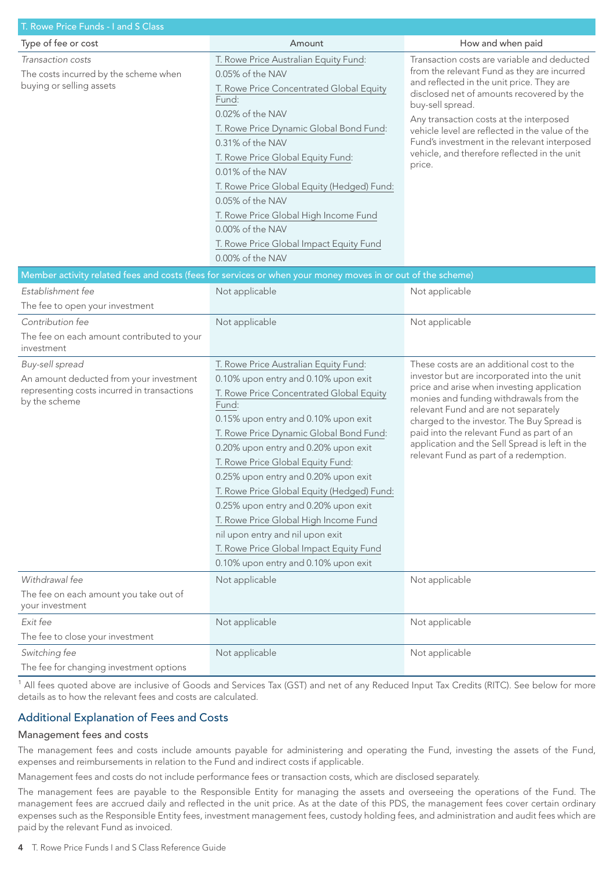| T. Rowe Price Funds - I and S Class                                                                                        |                                                                                                                                                                                                                                                                                                                                                                                                                                                                                                                                                                                                  |                                                                                                                                                                                                                                                                                                                                                                                                                  |  |  |  |  |
|----------------------------------------------------------------------------------------------------------------------------|--------------------------------------------------------------------------------------------------------------------------------------------------------------------------------------------------------------------------------------------------------------------------------------------------------------------------------------------------------------------------------------------------------------------------------------------------------------------------------------------------------------------------------------------------------------------------------------------------|------------------------------------------------------------------------------------------------------------------------------------------------------------------------------------------------------------------------------------------------------------------------------------------------------------------------------------------------------------------------------------------------------------------|--|--|--|--|
| Type of fee or cost                                                                                                        | Amount                                                                                                                                                                                                                                                                                                                                                                                                                                                                                                                                                                                           | How and when paid                                                                                                                                                                                                                                                                                                                                                                                                |  |  |  |  |
| Transaction costs<br>The costs incurred by the scheme when<br>buying or selling assets                                     | T. Rowe Price Australian Equity Fund:<br>0.05% of the NAV<br>T. Rowe Price Concentrated Global Equity<br>Fund:<br>0.02% of the NAV<br>T. Rowe Price Dynamic Global Bond Fund:<br>0.31% of the NAV<br>T. Rowe Price Global Equity Fund:<br>0.01% of the NAV<br>T. Rowe Price Global Equity (Hedged) Fund:<br>0.05% of the NAV<br>T. Rowe Price Global High Income Fund<br>0.00% of the NAV<br>T. Rowe Price Global Impact Equity Fund<br>0.00% of the NAV                                                                                                                                         | Transaction costs are variable and deducted<br>from the relevant Fund as they are incurred<br>and reflected in the unit price. They are<br>disclosed net of amounts recovered by the<br>buy-sell spread.<br>Any transaction costs at the interposed<br>vehicle level are reflected in the value of the<br>Fund's investment in the relevant interposed<br>vehicle, and therefore reflected in the unit<br>price. |  |  |  |  |
|                                                                                                                            | Member activity related fees and costs (fees for services or when your money moves in or out of the scheme)                                                                                                                                                                                                                                                                                                                                                                                                                                                                                      |                                                                                                                                                                                                                                                                                                                                                                                                                  |  |  |  |  |
| Establishment fee                                                                                                          | Not applicable                                                                                                                                                                                                                                                                                                                                                                                                                                                                                                                                                                                   | Not applicable                                                                                                                                                                                                                                                                                                                                                                                                   |  |  |  |  |
| The fee to open your investment                                                                                            |                                                                                                                                                                                                                                                                                                                                                                                                                                                                                                                                                                                                  |                                                                                                                                                                                                                                                                                                                                                                                                                  |  |  |  |  |
| Contribution fee                                                                                                           | Not applicable                                                                                                                                                                                                                                                                                                                                                                                                                                                                                                                                                                                   | Not applicable                                                                                                                                                                                                                                                                                                                                                                                                   |  |  |  |  |
| The fee on each amount contributed to your<br>investment                                                                   |                                                                                                                                                                                                                                                                                                                                                                                                                                                                                                                                                                                                  |                                                                                                                                                                                                                                                                                                                                                                                                                  |  |  |  |  |
| Buy-sell spread<br>An amount deducted from your investment<br>representing costs incurred in transactions<br>by the scheme | T. Rowe Price Australian Equity Fund:<br>0.10% upon entry and 0.10% upon exit<br>T. Rowe Price Concentrated Global Equity<br>Fund:<br>0.15% upon entry and 0.10% upon exit<br>T. Rowe Price Dynamic Global Bond Fund:<br>0.20% upon entry and 0.20% upon exit<br>T. Rowe Price Global Equity Fund:<br>0.25% upon entry and 0.20% upon exit<br>T. Rowe Price Global Equity (Hedged) Fund:<br>0.25% upon entry and 0.20% upon exit<br>T. Rowe Price Global High Income Fund<br>nil upon entry and nil upon exit<br>T. Rowe Price Global Impact Equity Fund<br>0.10% upon entry and 0.10% upon exit | These costs are an additional cost to the<br>investor but are incorporated into the unit<br>price and arise when investing application<br>monies and funding withdrawals from the<br>relevant Fund and are not separately<br>charged to the investor. The Buy Spread is<br>paid into the relevant Fund as part of an<br>application and the Sell Spread is left in the<br>relevant Fund as part of a redemption. |  |  |  |  |
| Withdrawal fee                                                                                                             | Not applicable                                                                                                                                                                                                                                                                                                                                                                                                                                                                                                                                                                                   | Not applicable                                                                                                                                                                                                                                                                                                                                                                                                   |  |  |  |  |
| The fee on each amount you take out of<br>your investment                                                                  |                                                                                                                                                                                                                                                                                                                                                                                                                                                                                                                                                                                                  |                                                                                                                                                                                                                                                                                                                                                                                                                  |  |  |  |  |
| Exit fee<br>The fee to close your investment                                                                               | Not applicable                                                                                                                                                                                                                                                                                                                                                                                                                                                                                                                                                                                   | Not applicable                                                                                                                                                                                                                                                                                                                                                                                                   |  |  |  |  |
| Switching fee<br>The fee for changing investment options                                                                   | Not applicable                                                                                                                                                                                                                                                                                                                                                                                                                                                                                                                                                                                   | Not applicable                                                                                                                                                                                                                                                                                                                                                                                                   |  |  |  |  |

<sup>1</sup> All fees quoted above are inclusive of Goods and Services Tax (GST) and net of any Reduced Input Tax Credits (RITC). See below for more details as to how the relevant fees and costs are calculated.

# Additional Explanation of Fees and Costs

# Management fees and costs

The management fees and costs include amounts payable for administering and operating the Fund, investing the assets of the Fund, expenses and reimbursements in relation to the Fund and indirect costs if applicable.

Management fees and costs do not include performance fees or transaction costs, which are disclosed separately.

The management fees are payable to the Responsible Entity for managing the assets and overseeing the operations of the Fund. The management fees are accrued daily and reflected in the unit price. As at the date of this PDS, the management fees cover certain ordinary expenses such as the Responsible Entity fees, investment management fees, custody holding fees, and administration and audit fees which are paid by the relevant Fund as invoiced.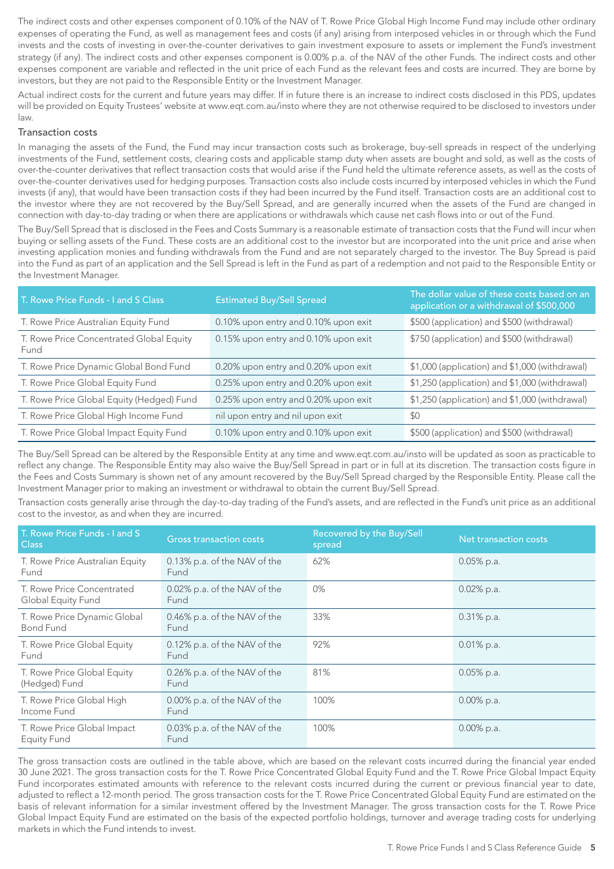The indirect costs and other expenses component of 0.10% of the NAV of T. Rowe Price Global High Income Fund may include other ordinary expenses of operating the Fund, as well as management fees and costs (if any) arising from interposed vehicles in or through which the Fund invests and the costs of investing in over-the-counter derivatives to gain investment exposure to assets or implement the Fund's investment strategy (if any). The indirect costs and other expenses component is 0.00% p.a. of the NAV of the other Funds. The indirect costs and other expenses component are variable and reflected in the unit price of each Fund as the relevant fees and costs are incurred. They are borne by investors, but they are not paid to the Responsible Entity or the Investment Manager.

Actual indirect costs for the current and future years may differ. If in future there is an increase to indirect costs disclosed in this PDS, updates will be provided on Equity Trustees' website at www.eqt.com.au/insto where they are not otherwise required to be disclosed to investors under law.

#### Transaction costs

In managing the assets of the Fund, the Fund may incur transaction costs such as brokerage, buy-sell spreads in respect of the underlying investments of the Fund, settlement costs, clearing costs and applicable stamp duty when assets are bought and sold, as well as the costs of over-the-counter derivatives that reflect transaction costs that would arise if the Fund held the ultimate reference assets, as well as the costs of over-the-counter derivatives used for hedging purposes. Transaction costs also include costs incurred by interposed vehicles in which the Fund invests (if any), that would have been transaction costs if they had been incurred by the Fund itself. Transaction costs are an additional cost to the investor where they are not recovered by the Buy/Sell Spread, and are generally incurred when the assets of the Fund are changed in connection with day-to-day trading or when there are applications or withdrawals which cause net cash flows into or out of the Fund.

The Buy/Sell Spread that is disclosed in the Fees and Costs Summary is a reasonable estimate of transaction costs that the Fund will incur when buying or selling assets of the Fund. These costs are an additional cost to the investor but are incorporated into the unit price and arise when investing application monies and funding withdrawals from the Fund and are not separately charged to the investor. The Buy Spread is paid into the Fund as part of an application and the Sell Spread is left in the Fund as part of a redemption and not paid to the Responsible Entity or the Investment Manager.

| T. Rowe Price Funds - I and S Class              | <b>Estimated Buy/Sell Spread</b>     | The dollar value of these costs based on an<br>application or a withdrawal of \$500,000 |  |
|--------------------------------------------------|--------------------------------------|-----------------------------------------------------------------------------------------|--|
| T. Rowe Price Australian Equity Fund             | 0.10% upon entry and 0.10% upon exit | \$500 (application) and \$500 (withdrawal)                                              |  |
| T. Rowe Price Concentrated Global Equity<br>Fund | 0.15% upon entry and 0.10% upon exit | \$750 (application) and \$500 (withdrawal)                                              |  |
| T. Rowe Price Dynamic Global Bond Fund           | 0.20% upon entry and 0.20% upon exit | \$1,000 (application) and \$1,000 (withdrawal)                                          |  |
| T. Rowe Price Global Equity Fund                 | 0.25% upon entry and 0.20% upon exit | \$1,250 (application) and \$1,000 (withdrawal)                                          |  |
| T. Rowe Price Global Equity (Hedged) Fund        | 0.25% upon entry and 0.20% upon exit | \$1,250 (application) and \$1,000 (withdrawal)                                          |  |
| T. Rowe Price Global High Income Fund            | nil upon entry and nil upon exit     | \$0                                                                                     |  |
| T. Rowe Price Global Impact Equity Fund          | 0.10% upon entry and 0.10% upon exit | \$500 (application) and \$500 (withdrawal)                                              |  |

The Buy/Sell Spread can be altered by the Responsible Entity at any time and www.eqt.com.au/insto will be updated as soon as practicable to reflect any change. The Responsible Entity may also waive the Buy/Sell Spread in part or in full at its discretion. The transaction costs figure in the Fees and Costs Summary is shown net of any amount recovered by the Buy/Sell Spread charged by the Responsible Entity. Please call the Investment Manager prior to making an investment or withdrawal to obtain the current Buy/Sell Spread.

Transaction costs generally arise through the day-to-day trading of the Fund's assets, and are reflected in the Fund's unit price as an additional cost to the investor, as and when they are incurred.

| T. Rowe Price Funds - I and S<br><b>Class</b>    | <b>Gross transaction costs</b>       | Recovered by the Buy/Sell<br>spread | Net transaction costs |
|--------------------------------------------------|--------------------------------------|-------------------------------------|-----------------------|
| T. Rowe Price Australian Equity<br>Fund          | 0.13% p.a. of the NAV of the<br>Fund | 62%                                 | $0.05\%$ p.a.         |
| T. Rowe Price Concentrated<br>Global Equity Fund | 0.02% p.a. of the NAV of the<br>Fund | $0\%$                               | $0.02\%$ p.a.         |
| T. Rowe Price Dynamic Global<br><b>Bond Fund</b> | 0.46% p.a. of the NAV of the<br>Fund | 33%                                 | $0.31\%$ p.a.         |
| T. Rowe Price Global Equity<br>Fund              | 0.12% p.a. of the NAV of the<br>Fund | 92%                                 | $0.01\%$ p.a.         |
| T. Rowe Price Global Equity<br>(Hedged) Fund     | 0.26% p.a. of the NAV of the<br>Fund | 81%                                 | $0.05\%$ p.a.         |
| T. Rowe Price Global High<br>Income Fund         | 0.00% p.a. of the NAV of the<br>Fund | 100%                                | $0.00\%$ p.a.         |
| T. Rowe Price Global Impact<br>Equity Fund       | 0.03% p.a. of the NAV of the<br>Fund | 100%                                | $0.00\%$ p.a.         |

The gross transaction costs are outlined in the table above, which are based on the relevant costs incurred during the financial year ended 30 June 2021. The gross transaction costs for the T. Rowe Price Concentrated Global Equity Fund and the T. Rowe Price Global Impact Equity Fund incorporates estimated amounts with reference to the relevant costs incurred during the current or previous financial year to date, adjusted to reflect a 12-month period. The gross transaction costs for the T. Rowe Price Concentrated Global Equity Fund are estimated on the basis of relevant information for a similar investment offered by the Investment Manager. The gross transaction costs for the T. Rowe Price Global Impact Equity Fund are estimated on the basis of the expected portfolio holdings, turnover and average trading costs for underlying markets in which the Fund intends to invest.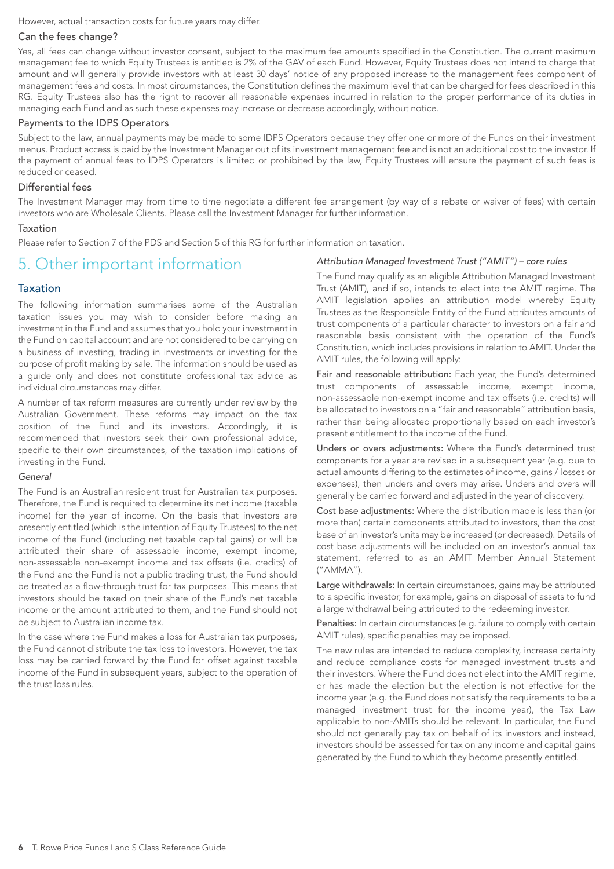However, actual transaction costs for future years may differ.

#### Can the fees change?

Yes, all fees can change without investor consent, subject to the maximum fee amounts specified in the Constitution. The current maximum management fee to which Equity Trustees is entitled is 2% of the GAV of each Fund. However, Equity Trustees does not intend to charge that amount and will generally provide investors with at least 30 days' notice of any proposed increase to the management fees component of management fees and costs. In most circumstances, the Constitution defines the maximum level that can be charged for fees described in this RG. Equity Trustees also has the right to recover all reasonable expenses incurred in relation to the proper performance of its duties in managing each Fund and as such these expenses may increase or decrease accordingly, without notice.

# Payments to the IDPS Operators

Subject to the law, annual payments may be made to some IDPS Operators because they offer one or more of the Funds on their investment menus. Product access is paid by the Investment Manager out of its investment management fee and is not an additional cost to the investor. If the payment of annual fees to IDPS Operators is limited or prohibited by the law, Equity Trustees will ensure the payment of such fees is reduced or ceased.

#### Differential fees

The Investment Manager may from time to time negotiate a different fee arrangement (by way of a rebate or waiver of fees) with certain investors who are Wholesale Clients. Please call the Investment Manager for further information.

#### Taxation

Please refer to Section 7 of the PDS and Section 5 of this RG for further information on taxation.

# 5. Other important information

# Taxation

The following information summarises some of the Australian taxation issues you may wish to consider before making an investment in the Fund and assumes that you hold your investment in the Fund on capital account and are not considered to be carrying on a business of investing, trading in investments or investing for the purpose of profit making by sale. The information should be used as a guide only and does not constitute professional tax advice as individual circumstances may differ.

A number of tax reform measures are currently under review by the Australian Government. These reforms may impact on the tax position of the Fund and its investors. Accordingly, it is recommended that investors seek their own professional advice, specific to their own circumstances, of the taxation implications of investing in the Fund.

#### *General*

The Fund is an Australian resident trust for Australian tax purposes. Therefore, the Fund is required to determine its net income (taxable income) for the year of income. On the basis that investors are presently entitled (which is the intention of Equity Trustees) to the net income of the Fund (including net taxable capital gains) or will be attributed their share of assessable income, exempt income, non-assessable non-exempt income and tax offsets (i.e. credits) of the Fund and the Fund is not a public trading trust, the Fund should be treated as a flow-through trust for tax purposes. This means that investors should be taxed on their share of the Fund's net taxable income or the amount attributed to them, and the Fund should not be subject to Australian income tax.

In the case where the Fund makes a loss for Australian tax purposes, the Fund cannot distribute the tax loss to investors. However, the tax loss may be carried forward by the Fund for offset against taxable income of the Fund in subsequent years, subject to the operation of the trust loss rules.

#### *Attribution Managed Investment Trust ("AMIT") – core rules*

The Fund may qualify as an eligible Attribution Managed Investment Trust (AMIT), and if so, intends to elect into the AMIT regime. The AMIT legislation applies an attribution model whereby Equity Trustees as the Responsible Entity of the Fund attributes amounts of trust components of a particular character to investors on a fair and reasonable basis consistent with the operation of the Fund's Constitution, which includes provisions in relation to AMIT. Under the AMIT rules, the following will apply:

Fair and reasonable attribution: Each year, the Fund's determined trust components of assessable income, exempt income, non-assessable non-exempt income and tax offsets (i.e. credits) will be allocated to investors on a "fair and reasonable" attribution basis, rather than being allocated proportionally based on each investor's present entitlement to the income of the Fund.

Unders or overs adjustments: Where the Fund's determined trust components for a year are revised in a subsequent year (e.g. due to actual amounts differing to the estimates of income, gains / losses or expenses), then unders and overs may arise. Unders and overs will generally be carried forward and adjusted in the year of discovery.

Cost base adjustments: Where the distribution made is less than (or more than) certain components attributed to investors, then the cost base of an investor's units may be increased (or decreased). Details of cost base adjustments will be included on an investor's annual tax statement, referred to as an AMIT Member Annual Statement ("AMMA").

Large withdrawals: In certain circumstances, gains may be attributed to a specific investor, for example, gains on disposal of assets to fund a large withdrawal being attributed to the redeeming investor.

Penalties: In certain circumstances (e.g. failure to comply with certain AMIT rules), specific penalties may be imposed.

The new rules are intended to reduce complexity, increase certainty and reduce compliance costs for managed investment trusts and their investors. Where the Fund does not elect into the AMIT regime, or has made the election but the election is not effective for the income year (e.g. the Fund does not satisfy the requirements to be a managed investment trust for the income year), the Tax Law applicable to non-AMITs should be relevant. In particular, the Fund should not generally pay tax on behalf of its investors and instead, investors should be assessed for tax on any income and capital gains generated by the Fund to which they become presently entitled.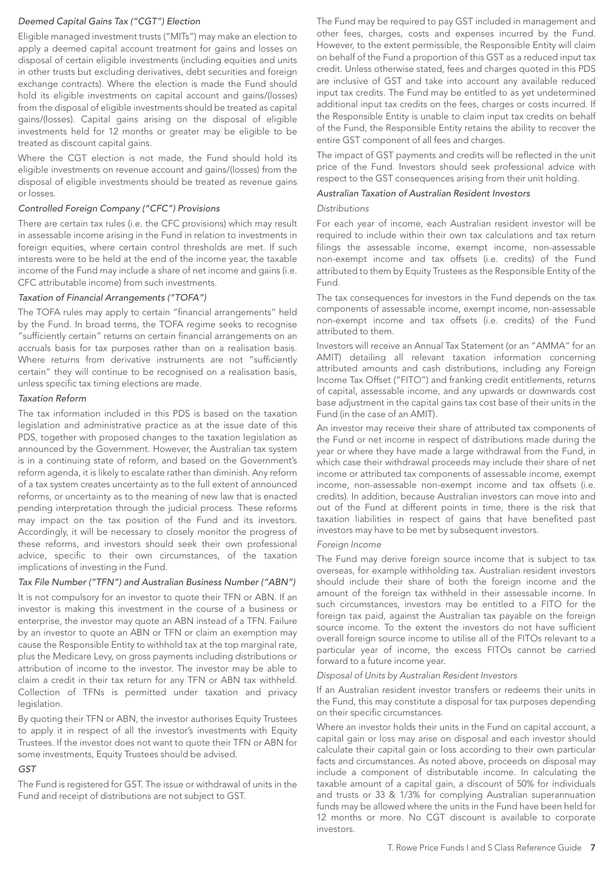# *Deemed Capital Gains Tax ("CGT") Election*

Eligible managed investment trusts ("MITs") may make an election to apply a deemed capital account treatment for gains and losses on disposal of certain eligible investments (including equities and units in other trusts but excluding derivatives, debt securities and foreign exchange contracts). Where the election is made the Fund should hold its eligible investments on capital account and gains/(losses) from the disposal of eligible investments should be treated as capital gains/(losses). Capital gains arising on the disposal of eligible investments held for 12 months or greater may be eligible to be treated as discount capital gains.

Where the CGT election is not made, the Fund should hold its eligible investments on revenue account and gains/(losses) from the disposal of eligible investments should be treated as revenue gains or losses.

#### *Controlled Foreign Company ("CFC") Provisions*

There are certain tax rules (i.e. the CFC provisions) which may result in assessable income arising in the Fund in relation to investments in foreign equities, where certain control thresholds are met. If such interests were to be held at the end of the income year, the taxable income of the Fund may include a share of net income and gains (i.e. CFC attributable income) from such investments.

#### *Taxation of Financial Arrangements ("TOFA")*

The TOFA rules may apply to certain "financial arrangements" held by the Fund. In broad terms, the TOFA regime seeks to recognise "sufficiently certain" returns on certain financial arrangements on an accruals basis for tax purposes rather than on a realisation basis. Where returns from derivative instruments are not "sufficiently certain" they will continue to be recognised on a realisation basis, unless specific tax timing elections are made.

#### *Taxation Reform*

The tax information included in this PDS is based on the taxation legislation and administrative practice as at the issue date of this PDS, together with proposed changes to the taxation legislation as announced by the Government. However, the Australian tax system is in a continuing state of reform, and based on the Government's reform agenda, it is likely to escalate rather than diminish. Any reform of a tax system creates uncertainty as to the full extent of announced reforms, or uncertainty as to the meaning of new law that is enacted pending interpretation through the judicial process. These reforms may impact on the tax position of the Fund and its investors. Accordingly, it will be necessary to closely monitor the progress of these reforms, and investors should seek their own professional advice, specific to their own circumstances, of the taxation implications of investing in the Fund.

#### *Tax File Number ("TFN") and Australian Business Number ("ABN")*

It is not compulsory for an investor to quote their TFN or ABN. If an investor is making this investment in the course of a business or enterprise, the investor may quote an ABN instead of a TFN. Failure by an investor to quote an ABN or TFN or claim an exemption may cause the Responsible Entity to withhold tax at the top marginal rate, plus the Medicare Levy, on gross payments including distributions or attribution of income to the investor. The investor may be able to claim a credit in their tax return for any TFN or ABN tax withheld. Collection of TFNs is permitted under taxation and privacy legislation.

By quoting their TFN or ABN, the investor authorises Equity Trustees to apply it in respect of all the investor's investments with Equity Trustees. If the investor does not want to quote their TFN or ABN for some investments, Equity Trustees should be advised.

#### *GST*

The Fund is registered for GST. The issue or withdrawal of units in the Fund and receipt of distributions are not subject to GST.

The Fund may be required to pay GST included in management and other fees, charges, costs and expenses incurred by the Fund. However, to the extent permissible, the Responsible Entity will claim on behalf of the Fund a proportion of this GST as a reduced input tax credit. Unless otherwise stated, fees and charges quoted in this PDS are inclusive of GST and take into account any available reduced input tax credits. The Fund may be entitled to as yet undetermined additional input tax credits on the fees, charges or costs incurred. If the Responsible Entity is unable to claim input tax credits on behalf of the Fund, the Responsible Entity retains the ability to recover the entire GST component of all fees and charges.

The impact of GST payments and credits will be reflected in the unit price of the Fund. Investors should seek professional advice with respect to the GST consequences arising from their unit holding.

#### *Australian Taxation of Australian Resident Investors*

#### *Distributions*

For each year of income, each Australian resident investor will be required to include within their own tax calculations and tax return filings the assessable income, exempt income, non-assessable non-exempt income and tax offsets (i.e. credits) of the Fund attributed to them by Equity Trustees as the Responsible Entity of the Fund.

The tax consequences for investors in the Fund depends on the tax components of assessable income, exempt income, non-assessable non-exempt income and tax offsets (i.e. credits) of the Fund attributed to them.

Investors will receive an Annual Tax Statement (or an "AMMA" for an AMIT) detailing all relevant taxation information concerning attributed amounts and cash distributions, including any Foreign Income Tax Offset ("FITO") and franking credit entitlements, returns of capital, assessable income, and any upwards or downwards cost base adjustment in the capital gains tax cost base of their units in the Fund (in the case of an AMIT).

An investor may receive their share of attributed tax components of the Fund or net income in respect of distributions made during the year or where they have made a large withdrawal from the Fund, in which case their withdrawal proceeds may include their share of net income or attributed tax components of assessable income, exempt income, non-assessable non-exempt income and tax offsets (i.e. credits). In addition, because Australian investors can move into and out of the Fund at different points in time, there is the risk that taxation liabilities in respect of gains that have benefited past investors may have to be met by subsequent investors.

#### *Foreign Income*

The Fund may derive foreign source income that is subject to tax overseas, for example withholding tax. Australian resident investors should include their share of both the foreign income and the amount of the foreign tax withheld in their assessable income. In such circumstances, investors may be entitled to a FITO for the foreign tax paid, against the Australian tax payable on the foreign source income. To the extent the investors do not have sufficient overall foreign source income to utilise all of the FITOs relevant to a particular year of income, the excess FITOs cannot be carried forward to a future income year.

#### *Disposal of Units by Australian Resident Investors*

If an Australian resident investor transfers or redeems their units in the Fund, this may constitute a disposal for tax purposes depending on their specific circumstances.

Where an investor holds their units in the Fund on capital account, a capital gain or loss may arise on disposal and each investor should calculate their capital gain or loss according to their own particular facts and circumstances. As noted above, proceeds on disposal may include a component of distributable income. In calculating the taxable amount of a capital gain, a discount of 50% for individuals and trusts or 33 & 1/3% for complying Australian superannuation funds may be allowed where the units in the Fund have been held for 12 months or more. No CGT discount is available to corporate investors.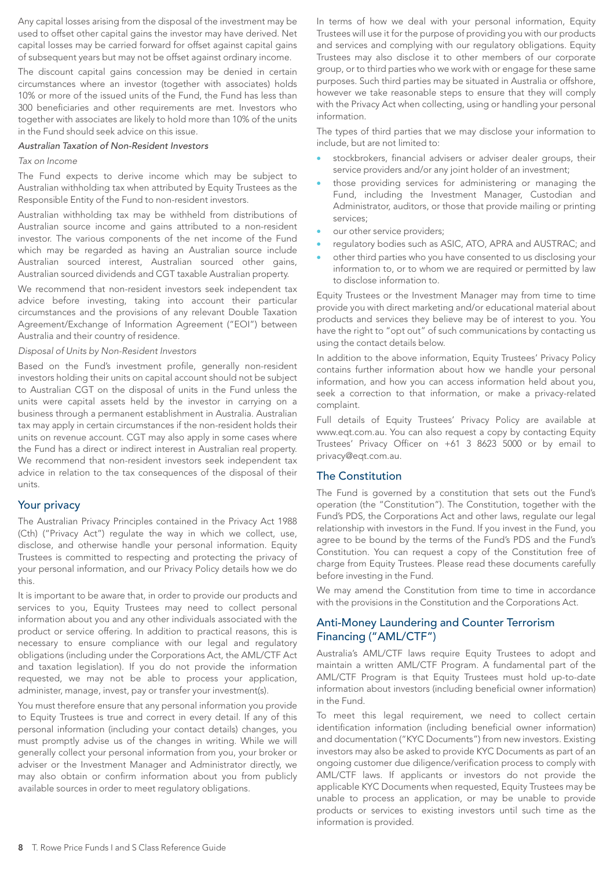Any capital losses arising from the disposal of the investment may be used to offset other capital gains the investor may have derived. Net capital losses may be carried forward for offset against capital gains of subsequent years but may not be offset against ordinary income.

The discount capital gains concession may be denied in certain circumstances where an investor (together with associates) holds 10% or more of the issued units of the Fund, the Fund has less than 300 beneficiaries and other requirements are met. Investors who together with associates are likely to hold more than 10% of the units in the Fund should seek advice on this issue.

#### *Australian Taxation of Non-Resident Investors*

#### *Tax on Income*

The Fund expects to derive income which may be subject to Australian withholding tax when attributed by Equity Trustees as the Responsible Entity of the Fund to non-resident investors.

Australian withholding tax may be withheld from distributions of Australian source income and gains attributed to a non-resident investor. The various components of the net income of the Fund which may be regarded as having an Australian source include Australian sourced interest, Australian sourced other gains, Australian sourced dividends and CGT taxable Australian property.

We recommend that non-resident investors seek independent tax advice before investing, taking into account their particular circumstances and the provisions of any relevant Double Taxation Agreement/Exchange of Information Agreement ("EOI") between Australia and their country of residence.

#### *Disposal of Units by Non-Resident Investors*

Based on the Fund's investment profile, generally non-resident investors holding their units on capital account should not be subject to Australian CGT on the disposal of units in the Fund unless the units were capital assets held by the investor in carrying on a business through a permanent establishment in Australia. Australian tax may apply in certain circumstances if the non-resident holds their units on revenue account. CGT may also apply in some cases where the Fund has a direct or indirect interest in Australian real property. We recommend that non-resident investors seek independent tax advice in relation to the tax consequences of the disposal of their units.

# Your privacy

The Australian Privacy Principles contained in the Privacy Act 1988 (Cth) ("Privacy Act") regulate the way in which we collect, use, disclose, and otherwise handle your personal information. Equity Trustees is committed to respecting and protecting the privacy of your personal information, and our Privacy Policy details how we do this.

It is important to be aware that, in order to provide our products and services to you, Equity Trustees may need to collect personal information about you and any other individuals associated with the product or service offering. In addition to practical reasons, this is necessary to ensure compliance with our legal and regulatory obligations (including under the Corporations Act, the AML/CTF Act and taxation legislation). If you do not provide the information requested, we may not be able to process your application, administer, manage, invest, pay or transfer your investment(s).

You must therefore ensure that any personal information you provide to Equity Trustees is true and correct in every detail. If any of this personal information (including your contact details) changes, you must promptly advise us of the changes in writing. While we will generally collect your personal information from you, your broker or adviser or the Investment Manager and Administrator directly, we may also obtain or confirm information about you from publicly available sources in order to meet regulatory obligations.

In terms of how we deal with your personal information, Equity Trustees will use it for the purpose of providing you with our products and services and complying with our regulatory obligations. Equity Trustees may also disclose it to other members of our corporate group, or to third parties who we work with or engage for these same purposes. Such third parties may be situated in Australia or offshore, however we take reasonable steps to ensure that they will comply with the Privacy Act when collecting, using or handling your personal information.

The types of third parties that we may disclose your information to include, but are not limited to:

- stockbrokers, financial advisers or adviser dealer groups, their service providers and/or any joint holder of an investment;
- those providing services for administering or managing the Fund, including the Investment Manager, Custodian and Administrator, auditors, or those that provide mailing or printing services;
- our other service providers;
- regulatory bodies such as ASIC, ATO, APRA and AUSTRAC; and
- other third parties who you have consented to us disclosing your information to, or to whom we are required or permitted by law to disclose information to.

Equity Trustees or the Investment Manager may from time to time provide you with direct marketing and/or educational material about products and services they believe may be of interest to you. You have the right to "opt out" of such communications by contacting us using the contact details below.

In addition to the above information, Equity Trustees' Privacy Policy contains further information about how we handle your personal information, and how you can access information held about you, seek a correction to that information, or make a privacy-related complaint.

Full details of Equity Trustees' Privacy Policy are available at www.eqt.com.au. You can also request a copy by contacting Equity Trustees' Privacy Officer on +61 3 8623 5000 or by email to privacy@eqt.com.au.

# The Constitution

The Fund is governed by a constitution that sets out the Fund's operation (the "Constitution"). The Constitution, together with the Fund's PDS, the Corporations Act and other laws, regulate our legal relationship with investors in the Fund. If you invest in the Fund, you agree to be bound by the terms of the Fund's PDS and the Fund's Constitution. You can request a copy of the Constitution free of charge from Equity Trustees. Please read these documents carefully before investing in the Fund.

We may amend the Constitution from time to time in accordance with the provisions in the Constitution and the Corporations Act.

# Anti-Money Laundering and Counter Terrorism Financing ("AML/CTF")

Australia's AML/CTF laws require Equity Trustees to adopt and maintain a written AML/CTF Program. A fundamental part of the AML/CTF Program is that Equity Trustees must hold up-to-date information about investors (including beneficial owner information) in the Fund.

To meet this legal requirement, we need to collect certain identification information (including beneficial owner information) and documentation ("KYC Documents") from new investors. Existing investors may also be asked to provide KYC Documents as part of an ongoing customer due diligence/verification process to comply with AML/CTF laws. If applicants or investors do not provide the applicable KYC Documents when requested, Equity Trustees may be unable to process an application, or may be unable to provide products or services to existing investors until such time as the information is provided.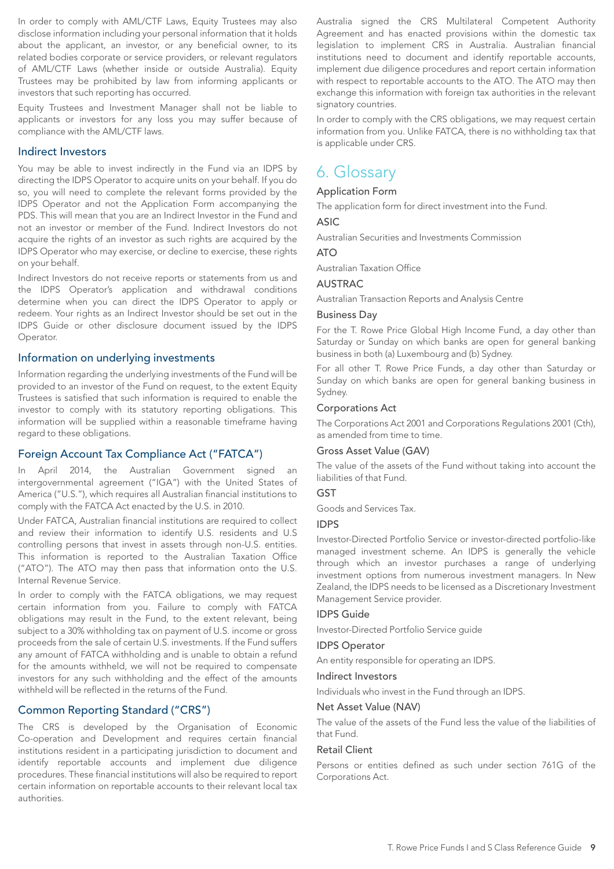In order to comply with AML/CTF Laws, Equity Trustees may also disclose information including your personal information that it holds about the applicant, an investor, or any beneficial owner, to its related bodies corporate or service providers, or relevant regulators of AML/CTF Laws (whether inside or outside Australia). Equity Trustees may be prohibited by law from informing applicants or investors that such reporting has occurred.

Equity Trustees and Investment Manager shall not be liable to applicants or investors for any loss you may suffer because of compliance with the AML/CTF laws.

# Indirect Investors

You may be able to invest indirectly in the Fund via an IDPS by directing the IDPS Operator to acquire units on your behalf. If you do so, you will need to complete the relevant forms provided by the IDPS Operator and not the Application Form accompanying the PDS. This will mean that you are an Indirect Investor in the Fund and not an investor or member of the Fund. Indirect Investors do not acquire the rights of an investor as such rights are acquired by the IDPS Operator who may exercise, or decline to exercise, these rights on your behalf.

Indirect Investors do not receive reports or statements from us and the IDPS Operator's application and withdrawal conditions determine when you can direct the IDPS Operator to apply or redeem. Your rights as an Indirect Investor should be set out in the IDPS Guide or other disclosure document issued by the IDPS Operator.

# Information on underlying investments

Information regarding the underlying investments of the Fund will be provided to an investor of the Fund on request, to the extent Equity Trustees is satisfied that such information is required to enable the investor to comply with its statutory reporting obligations. This information will be supplied within a reasonable timeframe having regard to these obligations.

# Foreign Account Tax Compliance Act ("FATCA")

In April 2014, the Australian Government signed an intergovernmental agreement ("IGA") with the United States of America ("U.S."), which requires all Australian financial institutions to comply with the FATCA Act enacted by the U.S. in 2010.

Under FATCA, Australian financial institutions are required to collect and review their information to identify U.S. residents and U.S controlling persons that invest in assets through non-U.S. entities. This information is reported to the Australian Taxation Office ("ATO"). The ATO may then pass that information onto the U.S. Internal Revenue Service.

In order to comply with the FATCA obligations, we may request certain information from you. Failure to comply with FATCA obligations may result in the Fund, to the extent relevant, being subject to a 30% withholding tax on payment of U.S. income or gross proceeds from the sale of certain U.S. investments. If the Fund suffers any amount of FATCA withholding and is unable to obtain a refund for the amounts withheld, we will not be required to compensate investors for any such withholding and the effect of the amounts withheld will be reflected in the returns of the Fund.

# Common Reporting Standard ("CRS")

The CRS is developed by the Organisation of Economic Co-operation and Development and requires certain financial institutions resident in a participating jurisdiction to document and identify reportable accounts and implement due diligence procedures. These financial institutions will also be required to report certain information on reportable accounts to their relevant local tax authorities.

Australia signed the CRS Multilateral Competent Authority Agreement and has enacted provisions within the domestic tax legislation to implement CRS in Australia. Australian financial institutions need to document and identify reportable accounts, implement due diligence procedures and report certain information with respect to reportable accounts to the ATO. The ATO may then exchange this information with foreign tax authorities in the relevant signatory countries.

In order to comply with the CRS obligations, we may request certain information from you. Unlike FATCA, there is no withholding tax that is applicable under CRS.

# 6. Glossary

#### Application Form

The application form for direct investment into the Fund.

#### ASIC

Australian Securities and Investments Commission

# $\triangle T$

Australian Taxation Office

#### AUSTRAC

Australian Transaction Reports and Analysis Centre

#### Business Day

For the T. Rowe Price Global High Income Fund, a day other than Saturday or Sunday on which banks are open for general banking business in both (a) Luxembourg and (b) Sydney.

For all other T. Rowe Price Funds, a day other than Saturday or Sunday on which banks are open for general banking business in Sydney.

#### Corporations Act

The Corporations Act 2001 and Corporations Regulations 2001 (Cth), as amended from time to time.

#### Gross Asset Value (GAV)

The value of the assets of the Fund without taking into account the liabilities of that Fund.

# **GST**

Goods and Services Tax.

# IDPS

Investor-Directed Portfolio Service or investor-directed portfolio-like managed investment scheme. An IDPS is generally the vehicle through which an investor purchases a range of underlying investment options from numerous investment managers. In New Zealand, the IDPS needs to be licensed as a Discretionary Investment Management Service provider.

#### IDPS Guide

Investor-Directed Portfolio Service guide

#### IDPS Operator

An entity responsible for operating an IDPS.

#### Indirect Investors

Individuals who invest in the Fund through an IDPS.

#### Net Asset Value (NAV)

The value of the assets of the Fund less the value of the liabilities of that Fund.

#### Retail Client

Persons or entities defined as such under section 761G of the Corporations Act.